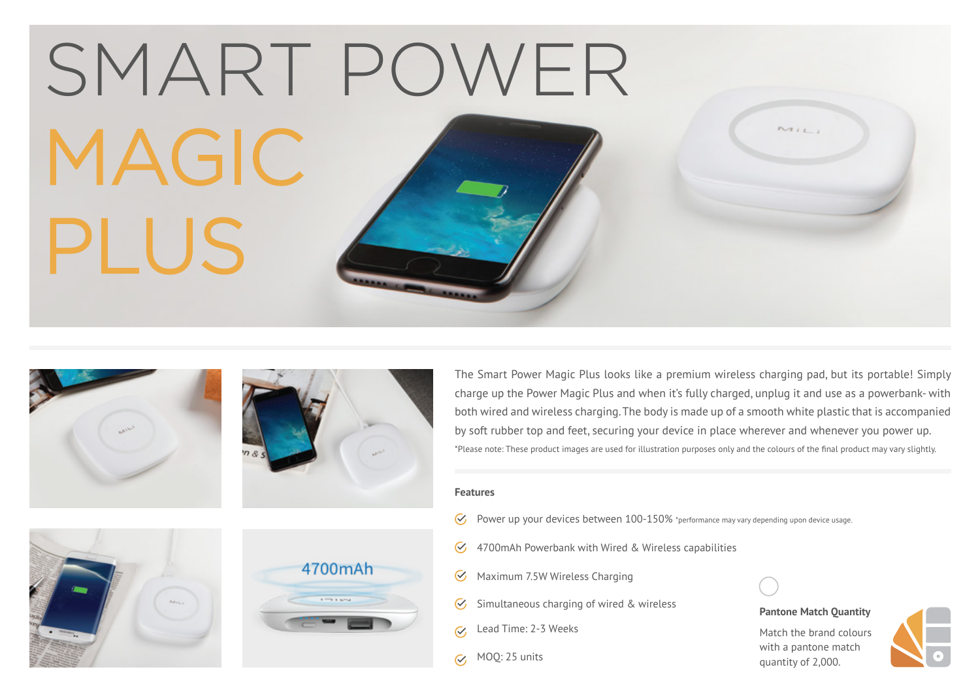|       | SMART POWER |      |
|-------|-------------|------|
| MAGIC |             | MILI |
| PLUS  |             |      |
|       |             |      |





The Smart Power Magic Plus looks like a premium wireless charging pad, but its portable! Simply charge up the Power Magic Plus and when it's fully charged, unplug it and use as a powerbank- with both wired and wireless charging. The body is made up of a smooth white plastic that is accompanied by soft rubber top and feet, securing your device in place wherever and whenever you power up. \*Please note: These product images are used for illustration purposes only and the colours of the final product may vary slightly.

#### **Features**

- $\mathcal{Q}$ Power up your devices between 100-150% \*performance may vary depending upon device usage.
- 4700mAh Powerbank with Wired & Wireless capabilities  $\mathcal{C}$
- $\overline{\mathcal{C}}$ Maximum 7.5W Wireless Charging
- Simultaneous charging of wired & wireless  $\mathcal Q$
- Lead Time: 2-3 Weeks  $\overline{M}$
- $\alpha$ , MOQ: 25 units



# **Pantone Match Quantity**

Match the brand colours with a pantone match quantity of 2,000.